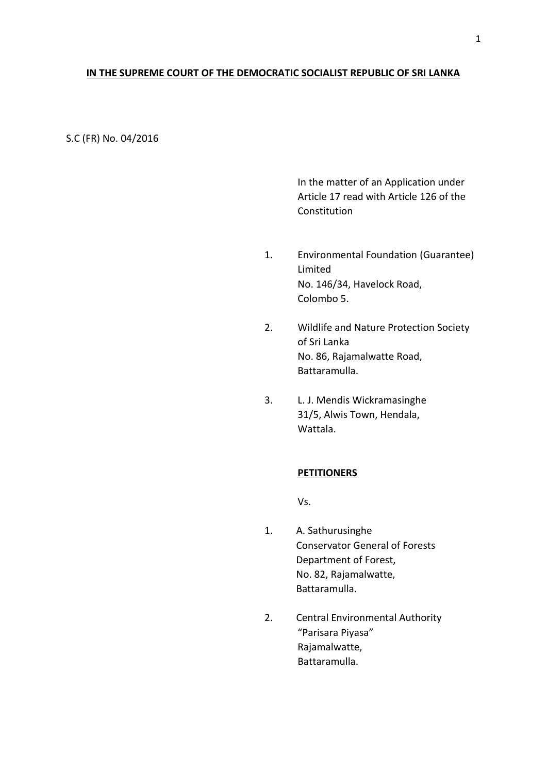## **IN THE SUPREME COURT OF THE DEMOCRATIC SOCIALIST REPUBLIC OF SRI LANKA**

S.C (FR) No. 04/2016

In the matter of an Application under Article 17 read with Article 126 of the **Constitution** 

- 1. Environmental Foundation (Guarantee) Limited No. 146/34, Havelock Road, Colombo 5.
- 2. Wildlife and Nature Protection Society of Sri Lanka No. 86, Rajamalwatte Road, Battaramulla.
- 3. L. J. Mendis Wickramasinghe 31/5, Alwis Town, Hendala, Wattala.

### **PETITIONERS**

Vs.

- 1. A. Sathurusinghe Conservator General of Forests Department of Forest, No. 82, Rajamalwatte, Battaramulla.
- 2. Central Environmental Authority "Parisara Piyasa" Rajamalwatte, Battaramulla.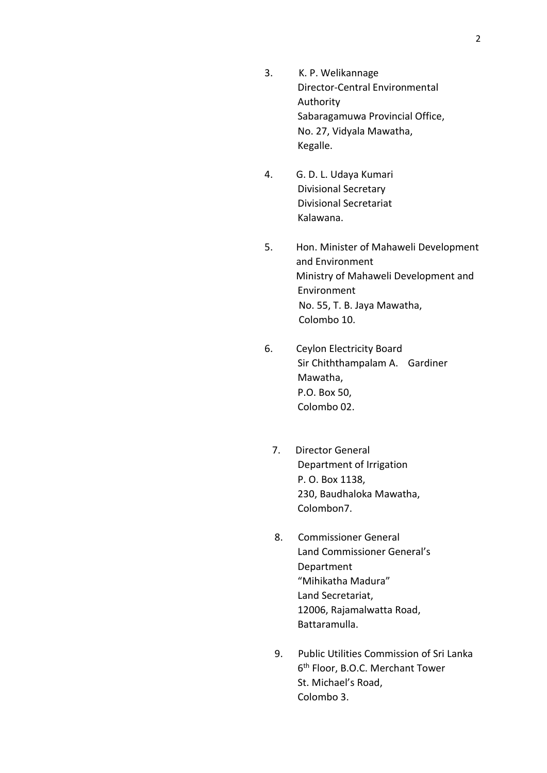- 3. K. P. Welikannage Director-Central Environmental Authority Sabaragamuwa Provincial Office, No. 27, Vidyala Mawatha, Kegalle.
- 4. G. D. L. Udaya Kumari Divisional Secretary Divisional Secretariat Kalawana.
- 5. Hon. Minister of Mahaweli Development and Environment Ministry of Mahaweli Development and Environment No. 55, T. B. Jaya Mawatha, Colombo 10.
- 6. Ceylon Electricity Board Sir Chiththampalam A. Gardiner Mawatha, P.O. Box 50, Colombo 02.
	- 7. Director General Department of Irrigation P. O. Box 1138, 230, Baudhaloka Mawatha, Colombon7.
	- 8. Commissioner General Land Commissioner General's Department "Mihikatha Madura" Land Secretariat, 12006, Rajamalwatta Road, Battaramulla.
	- 9. Public Utilities Commission of Sri Lanka 6 th Floor, B.O.C. Merchant Tower St. Michael's Road, Colombo 3.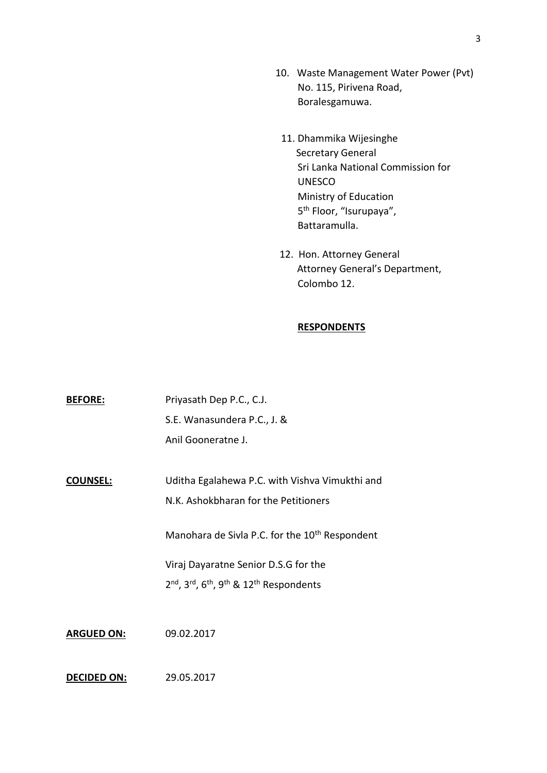- 10. Waste Management Water Power (Pvt) No. 115, Pirivena Road, Boralesgamuwa.
- 11. Dhammika Wijesinghe Secretary General Sri Lanka National Commission for UNESCO Ministry of Education 5<sup>th</sup> Floor, "Isurupaya", Battaramulla.
- 12. Hon. Attorney General Attorney General's Department, Colombo 12.

### **RESPONDENTS**

| <b>BEFORE:</b>    | Priyasath Dep P.C., C.J.                                                                             |
|-------------------|------------------------------------------------------------------------------------------------------|
|                   | S.E. Wanasundera P.C., J. &                                                                          |
|                   | Anil Gooneratne J.                                                                                   |
|                   |                                                                                                      |
| <b>COUNSEL:</b>   | Uditha Egalahewa P.C. with Vishva Vimukthi and                                                       |
|                   | N.K. Ashokbharan for the Petitioners                                                                 |
|                   | Manohara de Sivla P.C. for the 10 <sup>th</sup> Respondent                                           |
|                   | Viraj Dayaratne Senior D.S.G for the                                                                 |
|                   | 2 <sup>nd</sup> , 3 <sup>rd</sup> , 6 <sup>th</sup> , 9 <sup>th</sup> & 12 <sup>th</sup> Respondents |
|                   |                                                                                                      |
| <b>ARGUED ON:</b> | 09.02.2017                                                                                           |
|                   |                                                                                                      |

# **DECIDED ON:** 29.05.2017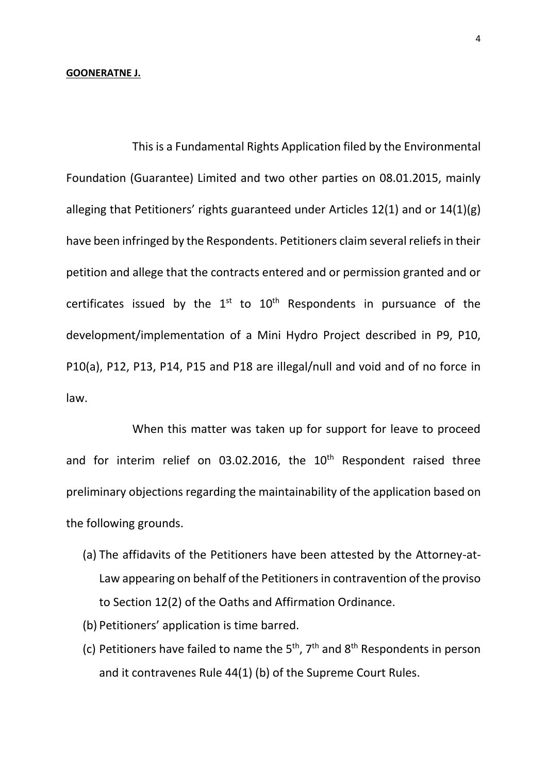#### **GOONERATNE J.**

This is a Fundamental Rights Application filed by the Environmental Foundation (Guarantee) Limited and two other parties on 08.01.2015, mainly alleging that Petitioners' rights guaranteed under Articles 12(1) and or 14(1)(g) have been infringed by the Respondents. Petitioners claim several reliefs in their petition and allege that the contracts entered and or permission granted and or certificates issued by the  $1<sup>st</sup>$  to  $10<sup>th</sup>$  Respondents in pursuance of the development/implementation of a Mini Hydro Project described in P9, P10, P10(a), P12, P13, P14, P15 and P18 are illegal/null and void and of no force in law.

When this matter was taken up for support for leave to proceed and for interim relief on 03.02.2016, the  $10<sup>th</sup>$  Respondent raised three preliminary objections regarding the maintainability of the application based on the following grounds.

- (a) The affidavits of the Petitioners have been attested by the Attorney-at-Law appearing on behalf of the Petitionersin contravention of the proviso to Section 12(2) of the Oaths and Affirmation Ordinance.
- (b) Petitioners' application is time barred.
- (c) Petitioners have failed to name the  $5<sup>th</sup>$ ,  $7<sup>th</sup>$  and  $8<sup>th</sup>$  Respondents in person and it contravenes Rule 44(1) (b) of the Supreme Court Rules.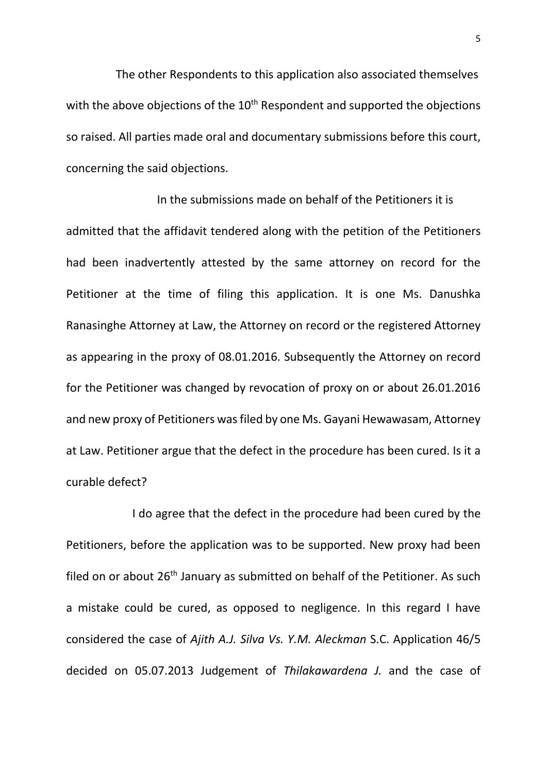The other Respondents to this application also associated themselves with the above objections of the  $10<sup>th</sup>$  Respondent and supported the objections so raised. All parties made oral and documentary submissions before this court, concerning the said objections.

In the submissions made on behalf of the Petitioners it is admitted that the affidavit tendered along with the petition of the Petitioners had been inadvertently attested by the same attorney on record for the Petitioner at the time of filing this application. It is one Ms. Danushka Ranasinghe Attorney at Law, the Attorney on record or the registered Attorney as appearing in the proxy of 08.01.2016. Subsequently the Attorney on record for the Petitioner was changed by revocation of proxy on or about 26.01.2016 and new proxy of Petitioners was filed by one Ms. Gayani Hewawasam, Attorney at Law. Petitioner argue that the defect in the procedure has been cured. Is it a curable defect?

I do agree that the defect in the procedure had been cured by the Petitioners, before the application was to be supported. New proxy had been filed on or about  $26<sup>th</sup>$  January as submitted on behalf of the Petitioner. As such a mistake could be cured, as opposed to negligence. In this regard I have considered the case of *Ajith A.J. Silva Vs. Y.M. Aleckman* S.C. Application 46/5 decided on 05.07.2013 Judgement of *Thilakawardena J.* and the case of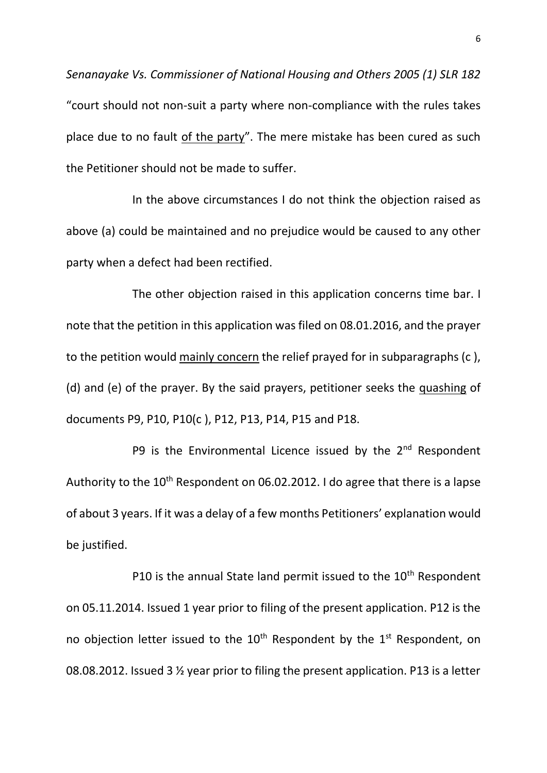*Senanayake Vs. Commissioner of National Housing and Others 2005 (1) SLR 182* "court should not non-suit a party where non-compliance with the rules takes place due to no fault of the party". The mere mistake has been cured as such the Petitioner should not be made to suffer.

In the above circumstances I do not think the objection raised as above (a) could be maintained and no prejudice would be caused to any other party when a defect had been rectified.

The other objection raised in this application concerns time bar. I note that the petition in this application was filed on 08.01.2016, and the prayer to the petition would mainly concern the relief prayed for in subparagraphs (c ), (d) and (e) of the prayer. By the said prayers, petitioner seeks the quashing of documents P9, P10, P10(c ), P12, P13, P14, P15 and P18.

P9 is the Environmental Licence issued by the  $2<sup>nd</sup>$  Respondent Authority to the 10<sup>th</sup> Respondent on 06.02.2012. I do agree that there is a lapse of about 3 years. If it was a delay of a few months Petitioners' explanation would be justified.

P10 is the annual State land permit issued to the  $10<sup>th</sup>$  Respondent on 05.11.2014. Issued 1 year prior to filing of the present application. P12 is the no objection letter issued to the  $10<sup>th</sup>$  Respondent by the  $1<sup>st</sup>$  Respondent, on 08.08.2012. Issued 3 ½ year prior to filing the present application. P13 is a letter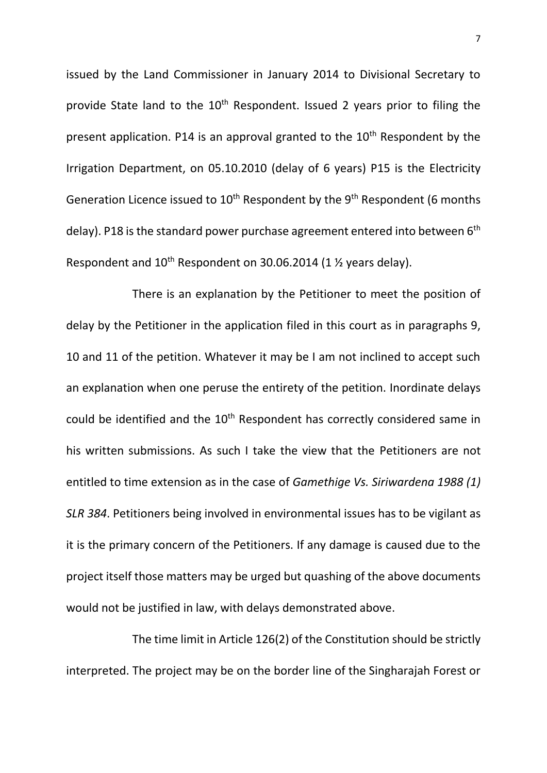issued by the Land Commissioner in January 2014 to Divisional Secretary to provide State land to the  $10<sup>th</sup>$  Respondent. Issued 2 years prior to filing the present application. P14 is an approval granted to the  $10<sup>th</sup>$  Respondent by the Irrigation Department, on 05.10.2010 (delay of 6 years) P15 is the Electricity Generation Licence issued to  $10^{th}$  Respondent by the  $9^{th}$  Respondent (6 months delay). P18 is the standard power purchase agreement entered into between  $6<sup>th</sup>$ Respondent and  $10^{th}$  Respondent on 30.06.2014 (1  $\frac{1}{2}$  years delay).

There is an explanation by the Petitioner to meet the position of delay by the Petitioner in the application filed in this court as in paragraphs 9, 10 and 11 of the petition. Whatever it may be I am not inclined to accept such an explanation when one peruse the entirety of the petition. Inordinate delays could be identified and the 10<sup>th</sup> Respondent has correctly considered same in his written submissions. As such I take the view that the Petitioners are not entitled to time extension as in the case of *Gamethige Vs. Siriwardena 1988 (1) SLR 384*. Petitioners being involved in environmental issues has to be vigilant as it is the primary concern of the Petitioners. If any damage is caused due to the project itself those matters may be urged but quashing of the above documents would not be justified in law, with delays demonstrated above.

The time limit in Article 126(2) of the Constitution should be strictly interpreted. The project may be on the border line of the Singharajah Forest or